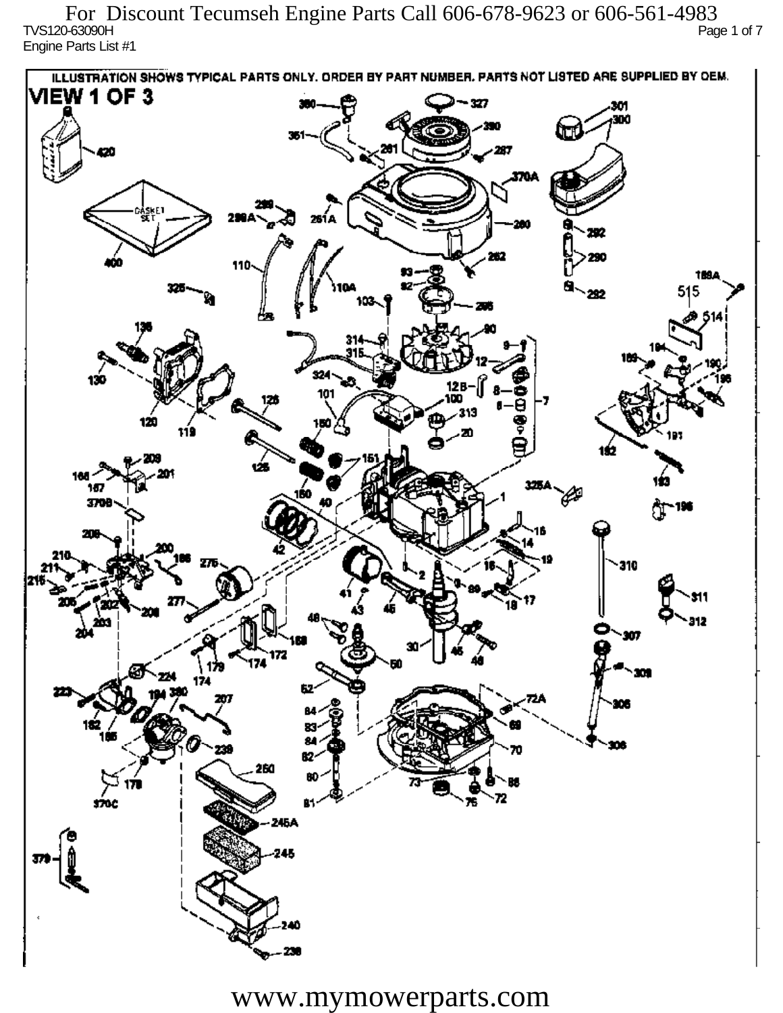TVS120-63090H Page 1 of 7 Engine Parts List #1 For Discount Tecumseh Engine Parts Call 606-678-9623 or 606-561-4983

ILLUSTRATION SHOWS TYPICAL PARTS ONLY. ORDER BY PART NUMBER, PARTS NOT LISTED ARE SUPPLIED BY DEM. **VIEW 1 OF 3** - 327 301 300 20 370A iskF1 261 A ж 292 290 110 1894 515 292 324 130 12 R 101 313 120 دھر 1ś2 ÚБ 160 167 160 P 3709 196 77 310 912 201 Ô,  $\mathbf{m}$ 172 174 174 182 ÷. ß2 260 72 sioc 76 81 245A 245 40

www.mymowerparts.com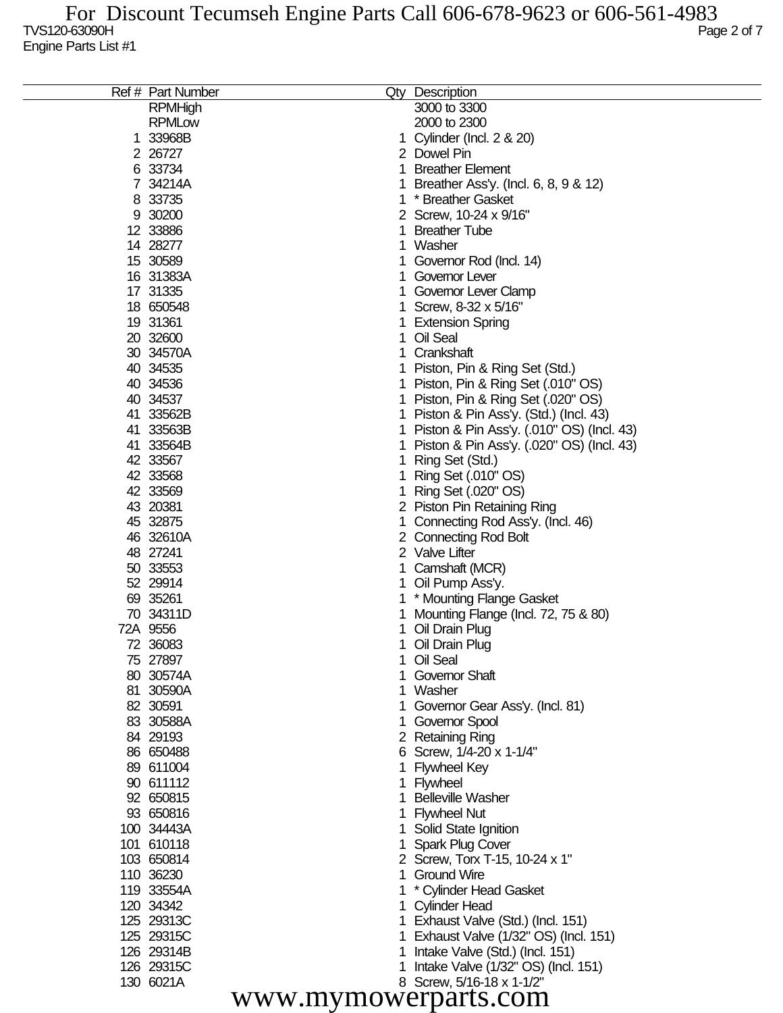| <b>RPMHigh</b><br><b>RPMLow</b><br>2000 to 2300<br>1 33968B<br>Cylinder (Incl. 2 & 20)<br>2 26727<br>2 Dowel Pin<br>6 33734<br><b>Breather Element</b><br>7 34214A<br>Breather Ass'y. (Incl. 6, 8, 9 & 12)<br>8 33735<br>* Breather Gasket<br>9 30200<br>2 Screw, 10-24 x 9/16"<br>12 33886<br><b>Breather Tube</b><br>14 28277<br>Washer<br>1<br>15 30589<br>Governor Rod (Incl. 14)<br>16 31383A<br>Governor Lever<br>17 31335<br>Governor Lever Clamp<br>18 650548<br>Screw, 8-32 x 5/16"<br>19 31361<br><b>Extension Spring</b><br>20 32600<br>Oil Seal<br>30 34570A<br>Crankshaft<br>40 34535<br>Piston, Pin & Ring Set (Std.)<br>40 34536<br>Piston, Pin & Ring Set (.010" OS)<br>40 34537<br>Piston, Pin & Ring Set (.020" OS)<br>41 33562B<br>Piston & Pin Ass'y. (Std.) (Incl. 43)<br>41 33563B<br>Piston & Pin Ass'y. (.010" OS) (Incl. 43)<br>41 33564B<br>Piston & Pin Ass'y. (.020" OS) (Incl. 43)<br>42 33567<br>Ring Set (Std.)<br>42 33568<br>Ring Set (.010" OS)<br>42 33569<br>Ring Set (.020" OS)<br>43 20381<br>2 Piston Pin Retaining Ring<br>45 32875<br>Connecting Rod Ass'y. (Incl. 46)<br>46 32610A<br>2 Connecting Rod Bolt<br>48 27241<br>2 Valve Lifter<br>50 33553<br>Camshaft (MCR)<br>52 29914<br>Oil Pump Ass'y.<br>69 35261<br>* Mounting Flange Gasket<br>70 34311D<br>Mounting Flange (Incl. 72, 75 & 80)<br>72A 9556<br>Oil Drain Plug<br>72 36083<br>Oil Drain Plug<br>75 27897<br>1 Oil Seal<br>80 30574A<br>Governor Shaft<br>81 30590A<br>Washer<br>82 30591<br>Governor Gear Ass'y. (Incl. 81)<br>83 30588A<br>Governor Spool<br>84 29193<br>2 Retaining Ring<br>86 650488<br>6 Screw, 1/4-20 x 1-1/4"<br>89 611004<br><b>Flywheel Key</b><br>90 611112<br>Flywheel<br>92 650815<br><b>Belleville Washer</b><br>93 650816<br><b>Flywheel Nut</b><br>100 34443A<br>Solid State Ignition<br>101 610118<br><b>Spark Plug Cover</b><br>103 650814<br>2 Screw, Torx T-15, 10-24 x 1"<br>110 36230<br><b>Ground Wire</b><br>119 33554A<br>* Cylinder Head Gasket<br>120 34342<br><b>Cylinder Head</b><br>125 29313C<br>Exhaust Valve (Std.) (Incl. 151)<br>125 29315C<br>Exhaust Valve (1/32" OS) (Incl. 151)<br>126 29314B<br>Intake Valve (Std.) (Incl. 151)<br>126 29315C<br>Intake Valve (1/32" OS) (Incl. 151)<br>130 6021A<br>8 Screw, 5/16-18 x 1-1/2"<br>www.mymowerparts.com | Ref # Part Number | Qty Description |
|--------------------------------------------------------------------------------------------------------------------------------------------------------------------------------------------------------------------------------------------------------------------------------------------------------------------------------------------------------------------------------------------------------------------------------------------------------------------------------------------------------------------------------------------------------------------------------------------------------------------------------------------------------------------------------------------------------------------------------------------------------------------------------------------------------------------------------------------------------------------------------------------------------------------------------------------------------------------------------------------------------------------------------------------------------------------------------------------------------------------------------------------------------------------------------------------------------------------------------------------------------------------------------------------------------------------------------------------------------------------------------------------------------------------------------------------------------------------------------------------------------------------------------------------------------------------------------------------------------------------------------------------------------------------------------------------------------------------------------------------------------------------------------------------------------------------------------------------------------------------------------------------------------------------------------------------------------------------------------------------------------------------------------------------------------------------------------------------------------------------------------------------------------------------------------------------------------------------------------------------------------------------------------------------------------------------------|-------------------|-----------------|
|                                                                                                                                                                                                                                                                                                                                                                                                                                                                                                                                                                                                                                                                                                                                                                                                                                                                                                                                                                                                                                                                                                                                                                                                                                                                                                                                                                                                                                                                                                                                                                                                                                                                                                                                                                                                                                                                                                                                                                                                                                                                                                                                                                                                                                                                                                                          |                   | 3000 to 3300    |
|                                                                                                                                                                                                                                                                                                                                                                                                                                                                                                                                                                                                                                                                                                                                                                                                                                                                                                                                                                                                                                                                                                                                                                                                                                                                                                                                                                                                                                                                                                                                                                                                                                                                                                                                                                                                                                                                                                                                                                                                                                                                                                                                                                                                                                                                                                                          |                   |                 |
|                                                                                                                                                                                                                                                                                                                                                                                                                                                                                                                                                                                                                                                                                                                                                                                                                                                                                                                                                                                                                                                                                                                                                                                                                                                                                                                                                                                                                                                                                                                                                                                                                                                                                                                                                                                                                                                                                                                                                                                                                                                                                                                                                                                                                                                                                                                          |                   |                 |
|                                                                                                                                                                                                                                                                                                                                                                                                                                                                                                                                                                                                                                                                                                                                                                                                                                                                                                                                                                                                                                                                                                                                                                                                                                                                                                                                                                                                                                                                                                                                                                                                                                                                                                                                                                                                                                                                                                                                                                                                                                                                                                                                                                                                                                                                                                                          |                   |                 |
|                                                                                                                                                                                                                                                                                                                                                                                                                                                                                                                                                                                                                                                                                                                                                                                                                                                                                                                                                                                                                                                                                                                                                                                                                                                                                                                                                                                                                                                                                                                                                                                                                                                                                                                                                                                                                                                                                                                                                                                                                                                                                                                                                                                                                                                                                                                          |                   |                 |
|                                                                                                                                                                                                                                                                                                                                                                                                                                                                                                                                                                                                                                                                                                                                                                                                                                                                                                                                                                                                                                                                                                                                                                                                                                                                                                                                                                                                                                                                                                                                                                                                                                                                                                                                                                                                                                                                                                                                                                                                                                                                                                                                                                                                                                                                                                                          |                   |                 |
|                                                                                                                                                                                                                                                                                                                                                                                                                                                                                                                                                                                                                                                                                                                                                                                                                                                                                                                                                                                                                                                                                                                                                                                                                                                                                                                                                                                                                                                                                                                                                                                                                                                                                                                                                                                                                                                                                                                                                                                                                                                                                                                                                                                                                                                                                                                          |                   |                 |
|                                                                                                                                                                                                                                                                                                                                                                                                                                                                                                                                                                                                                                                                                                                                                                                                                                                                                                                                                                                                                                                                                                                                                                                                                                                                                                                                                                                                                                                                                                                                                                                                                                                                                                                                                                                                                                                                                                                                                                                                                                                                                                                                                                                                                                                                                                                          |                   |                 |
|                                                                                                                                                                                                                                                                                                                                                                                                                                                                                                                                                                                                                                                                                                                                                                                                                                                                                                                                                                                                                                                                                                                                                                                                                                                                                                                                                                                                                                                                                                                                                                                                                                                                                                                                                                                                                                                                                                                                                                                                                                                                                                                                                                                                                                                                                                                          |                   |                 |
|                                                                                                                                                                                                                                                                                                                                                                                                                                                                                                                                                                                                                                                                                                                                                                                                                                                                                                                                                                                                                                                                                                                                                                                                                                                                                                                                                                                                                                                                                                                                                                                                                                                                                                                                                                                                                                                                                                                                                                                                                                                                                                                                                                                                                                                                                                                          |                   |                 |
|                                                                                                                                                                                                                                                                                                                                                                                                                                                                                                                                                                                                                                                                                                                                                                                                                                                                                                                                                                                                                                                                                                                                                                                                                                                                                                                                                                                                                                                                                                                                                                                                                                                                                                                                                                                                                                                                                                                                                                                                                                                                                                                                                                                                                                                                                                                          |                   |                 |
|                                                                                                                                                                                                                                                                                                                                                                                                                                                                                                                                                                                                                                                                                                                                                                                                                                                                                                                                                                                                                                                                                                                                                                                                                                                                                                                                                                                                                                                                                                                                                                                                                                                                                                                                                                                                                                                                                                                                                                                                                                                                                                                                                                                                                                                                                                                          |                   |                 |
|                                                                                                                                                                                                                                                                                                                                                                                                                                                                                                                                                                                                                                                                                                                                                                                                                                                                                                                                                                                                                                                                                                                                                                                                                                                                                                                                                                                                                                                                                                                                                                                                                                                                                                                                                                                                                                                                                                                                                                                                                                                                                                                                                                                                                                                                                                                          |                   |                 |
|                                                                                                                                                                                                                                                                                                                                                                                                                                                                                                                                                                                                                                                                                                                                                                                                                                                                                                                                                                                                                                                                                                                                                                                                                                                                                                                                                                                                                                                                                                                                                                                                                                                                                                                                                                                                                                                                                                                                                                                                                                                                                                                                                                                                                                                                                                                          |                   |                 |
|                                                                                                                                                                                                                                                                                                                                                                                                                                                                                                                                                                                                                                                                                                                                                                                                                                                                                                                                                                                                                                                                                                                                                                                                                                                                                                                                                                                                                                                                                                                                                                                                                                                                                                                                                                                                                                                                                                                                                                                                                                                                                                                                                                                                                                                                                                                          |                   |                 |
|                                                                                                                                                                                                                                                                                                                                                                                                                                                                                                                                                                                                                                                                                                                                                                                                                                                                                                                                                                                                                                                                                                                                                                                                                                                                                                                                                                                                                                                                                                                                                                                                                                                                                                                                                                                                                                                                                                                                                                                                                                                                                                                                                                                                                                                                                                                          |                   |                 |
|                                                                                                                                                                                                                                                                                                                                                                                                                                                                                                                                                                                                                                                                                                                                                                                                                                                                                                                                                                                                                                                                                                                                                                                                                                                                                                                                                                                                                                                                                                                                                                                                                                                                                                                                                                                                                                                                                                                                                                                                                                                                                                                                                                                                                                                                                                                          |                   |                 |
|                                                                                                                                                                                                                                                                                                                                                                                                                                                                                                                                                                                                                                                                                                                                                                                                                                                                                                                                                                                                                                                                                                                                                                                                                                                                                                                                                                                                                                                                                                                                                                                                                                                                                                                                                                                                                                                                                                                                                                                                                                                                                                                                                                                                                                                                                                                          |                   |                 |
|                                                                                                                                                                                                                                                                                                                                                                                                                                                                                                                                                                                                                                                                                                                                                                                                                                                                                                                                                                                                                                                                                                                                                                                                                                                                                                                                                                                                                                                                                                                                                                                                                                                                                                                                                                                                                                                                                                                                                                                                                                                                                                                                                                                                                                                                                                                          |                   |                 |
|                                                                                                                                                                                                                                                                                                                                                                                                                                                                                                                                                                                                                                                                                                                                                                                                                                                                                                                                                                                                                                                                                                                                                                                                                                                                                                                                                                                                                                                                                                                                                                                                                                                                                                                                                                                                                                                                                                                                                                                                                                                                                                                                                                                                                                                                                                                          |                   |                 |
|                                                                                                                                                                                                                                                                                                                                                                                                                                                                                                                                                                                                                                                                                                                                                                                                                                                                                                                                                                                                                                                                                                                                                                                                                                                                                                                                                                                                                                                                                                                                                                                                                                                                                                                                                                                                                                                                                                                                                                                                                                                                                                                                                                                                                                                                                                                          |                   |                 |
|                                                                                                                                                                                                                                                                                                                                                                                                                                                                                                                                                                                                                                                                                                                                                                                                                                                                                                                                                                                                                                                                                                                                                                                                                                                                                                                                                                                                                                                                                                                                                                                                                                                                                                                                                                                                                                                                                                                                                                                                                                                                                                                                                                                                                                                                                                                          |                   |                 |
|                                                                                                                                                                                                                                                                                                                                                                                                                                                                                                                                                                                                                                                                                                                                                                                                                                                                                                                                                                                                                                                                                                                                                                                                                                                                                                                                                                                                                                                                                                                                                                                                                                                                                                                                                                                                                                                                                                                                                                                                                                                                                                                                                                                                                                                                                                                          |                   |                 |
|                                                                                                                                                                                                                                                                                                                                                                                                                                                                                                                                                                                                                                                                                                                                                                                                                                                                                                                                                                                                                                                                                                                                                                                                                                                                                                                                                                                                                                                                                                                                                                                                                                                                                                                                                                                                                                                                                                                                                                                                                                                                                                                                                                                                                                                                                                                          |                   |                 |
|                                                                                                                                                                                                                                                                                                                                                                                                                                                                                                                                                                                                                                                                                                                                                                                                                                                                                                                                                                                                                                                                                                                                                                                                                                                                                                                                                                                                                                                                                                                                                                                                                                                                                                                                                                                                                                                                                                                                                                                                                                                                                                                                                                                                                                                                                                                          |                   |                 |
|                                                                                                                                                                                                                                                                                                                                                                                                                                                                                                                                                                                                                                                                                                                                                                                                                                                                                                                                                                                                                                                                                                                                                                                                                                                                                                                                                                                                                                                                                                                                                                                                                                                                                                                                                                                                                                                                                                                                                                                                                                                                                                                                                                                                                                                                                                                          |                   |                 |
|                                                                                                                                                                                                                                                                                                                                                                                                                                                                                                                                                                                                                                                                                                                                                                                                                                                                                                                                                                                                                                                                                                                                                                                                                                                                                                                                                                                                                                                                                                                                                                                                                                                                                                                                                                                                                                                                                                                                                                                                                                                                                                                                                                                                                                                                                                                          |                   |                 |
|                                                                                                                                                                                                                                                                                                                                                                                                                                                                                                                                                                                                                                                                                                                                                                                                                                                                                                                                                                                                                                                                                                                                                                                                                                                                                                                                                                                                                                                                                                                                                                                                                                                                                                                                                                                                                                                                                                                                                                                                                                                                                                                                                                                                                                                                                                                          |                   |                 |
|                                                                                                                                                                                                                                                                                                                                                                                                                                                                                                                                                                                                                                                                                                                                                                                                                                                                                                                                                                                                                                                                                                                                                                                                                                                                                                                                                                                                                                                                                                                                                                                                                                                                                                                                                                                                                                                                                                                                                                                                                                                                                                                                                                                                                                                                                                                          |                   |                 |
|                                                                                                                                                                                                                                                                                                                                                                                                                                                                                                                                                                                                                                                                                                                                                                                                                                                                                                                                                                                                                                                                                                                                                                                                                                                                                                                                                                                                                                                                                                                                                                                                                                                                                                                                                                                                                                                                                                                                                                                                                                                                                                                                                                                                                                                                                                                          |                   |                 |
|                                                                                                                                                                                                                                                                                                                                                                                                                                                                                                                                                                                                                                                                                                                                                                                                                                                                                                                                                                                                                                                                                                                                                                                                                                                                                                                                                                                                                                                                                                                                                                                                                                                                                                                                                                                                                                                                                                                                                                                                                                                                                                                                                                                                                                                                                                                          |                   |                 |
|                                                                                                                                                                                                                                                                                                                                                                                                                                                                                                                                                                                                                                                                                                                                                                                                                                                                                                                                                                                                                                                                                                                                                                                                                                                                                                                                                                                                                                                                                                                                                                                                                                                                                                                                                                                                                                                                                                                                                                                                                                                                                                                                                                                                                                                                                                                          |                   |                 |
|                                                                                                                                                                                                                                                                                                                                                                                                                                                                                                                                                                                                                                                                                                                                                                                                                                                                                                                                                                                                                                                                                                                                                                                                                                                                                                                                                                                                                                                                                                                                                                                                                                                                                                                                                                                                                                                                                                                                                                                                                                                                                                                                                                                                                                                                                                                          |                   |                 |
|                                                                                                                                                                                                                                                                                                                                                                                                                                                                                                                                                                                                                                                                                                                                                                                                                                                                                                                                                                                                                                                                                                                                                                                                                                                                                                                                                                                                                                                                                                                                                                                                                                                                                                                                                                                                                                                                                                                                                                                                                                                                                                                                                                                                                                                                                                                          |                   |                 |
|                                                                                                                                                                                                                                                                                                                                                                                                                                                                                                                                                                                                                                                                                                                                                                                                                                                                                                                                                                                                                                                                                                                                                                                                                                                                                                                                                                                                                                                                                                                                                                                                                                                                                                                                                                                                                                                                                                                                                                                                                                                                                                                                                                                                                                                                                                                          |                   |                 |
|                                                                                                                                                                                                                                                                                                                                                                                                                                                                                                                                                                                                                                                                                                                                                                                                                                                                                                                                                                                                                                                                                                                                                                                                                                                                                                                                                                                                                                                                                                                                                                                                                                                                                                                                                                                                                                                                                                                                                                                                                                                                                                                                                                                                                                                                                                                          |                   |                 |
|                                                                                                                                                                                                                                                                                                                                                                                                                                                                                                                                                                                                                                                                                                                                                                                                                                                                                                                                                                                                                                                                                                                                                                                                                                                                                                                                                                                                                                                                                                                                                                                                                                                                                                                                                                                                                                                                                                                                                                                                                                                                                                                                                                                                                                                                                                                          |                   |                 |
|                                                                                                                                                                                                                                                                                                                                                                                                                                                                                                                                                                                                                                                                                                                                                                                                                                                                                                                                                                                                                                                                                                                                                                                                                                                                                                                                                                                                                                                                                                                                                                                                                                                                                                                                                                                                                                                                                                                                                                                                                                                                                                                                                                                                                                                                                                                          |                   |                 |
|                                                                                                                                                                                                                                                                                                                                                                                                                                                                                                                                                                                                                                                                                                                                                                                                                                                                                                                                                                                                                                                                                                                                                                                                                                                                                                                                                                                                                                                                                                                                                                                                                                                                                                                                                                                                                                                                                                                                                                                                                                                                                                                                                                                                                                                                                                                          |                   |                 |
|                                                                                                                                                                                                                                                                                                                                                                                                                                                                                                                                                                                                                                                                                                                                                                                                                                                                                                                                                                                                                                                                                                                                                                                                                                                                                                                                                                                                                                                                                                                                                                                                                                                                                                                                                                                                                                                                                                                                                                                                                                                                                                                                                                                                                                                                                                                          |                   |                 |
|                                                                                                                                                                                                                                                                                                                                                                                                                                                                                                                                                                                                                                                                                                                                                                                                                                                                                                                                                                                                                                                                                                                                                                                                                                                                                                                                                                                                                                                                                                                                                                                                                                                                                                                                                                                                                                                                                                                                                                                                                                                                                                                                                                                                                                                                                                                          |                   |                 |
|                                                                                                                                                                                                                                                                                                                                                                                                                                                                                                                                                                                                                                                                                                                                                                                                                                                                                                                                                                                                                                                                                                                                                                                                                                                                                                                                                                                                                                                                                                                                                                                                                                                                                                                                                                                                                                                                                                                                                                                                                                                                                                                                                                                                                                                                                                                          |                   |                 |
|                                                                                                                                                                                                                                                                                                                                                                                                                                                                                                                                                                                                                                                                                                                                                                                                                                                                                                                                                                                                                                                                                                                                                                                                                                                                                                                                                                                                                                                                                                                                                                                                                                                                                                                                                                                                                                                                                                                                                                                                                                                                                                                                                                                                                                                                                                                          |                   |                 |
|                                                                                                                                                                                                                                                                                                                                                                                                                                                                                                                                                                                                                                                                                                                                                                                                                                                                                                                                                                                                                                                                                                                                                                                                                                                                                                                                                                                                                                                                                                                                                                                                                                                                                                                                                                                                                                                                                                                                                                                                                                                                                                                                                                                                                                                                                                                          |                   |                 |
|                                                                                                                                                                                                                                                                                                                                                                                                                                                                                                                                                                                                                                                                                                                                                                                                                                                                                                                                                                                                                                                                                                                                                                                                                                                                                                                                                                                                                                                                                                                                                                                                                                                                                                                                                                                                                                                                                                                                                                                                                                                                                                                                                                                                                                                                                                                          |                   |                 |
|                                                                                                                                                                                                                                                                                                                                                                                                                                                                                                                                                                                                                                                                                                                                                                                                                                                                                                                                                                                                                                                                                                                                                                                                                                                                                                                                                                                                                                                                                                                                                                                                                                                                                                                                                                                                                                                                                                                                                                                                                                                                                                                                                                                                                                                                                                                          |                   |                 |
|                                                                                                                                                                                                                                                                                                                                                                                                                                                                                                                                                                                                                                                                                                                                                                                                                                                                                                                                                                                                                                                                                                                                                                                                                                                                                                                                                                                                                                                                                                                                                                                                                                                                                                                                                                                                                                                                                                                                                                                                                                                                                                                                                                                                                                                                                                                          |                   |                 |
|                                                                                                                                                                                                                                                                                                                                                                                                                                                                                                                                                                                                                                                                                                                                                                                                                                                                                                                                                                                                                                                                                                                                                                                                                                                                                                                                                                                                                                                                                                                                                                                                                                                                                                                                                                                                                                                                                                                                                                                                                                                                                                                                                                                                                                                                                                                          |                   |                 |
|                                                                                                                                                                                                                                                                                                                                                                                                                                                                                                                                                                                                                                                                                                                                                                                                                                                                                                                                                                                                                                                                                                                                                                                                                                                                                                                                                                                                                                                                                                                                                                                                                                                                                                                                                                                                                                                                                                                                                                                                                                                                                                                                                                                                                                                                                                                          |                   |                 |
|                                                                                                                                                                                                                                                                                                                                                                                                                                                                                                                                                                                                                                                                                                                                                                                                                                                                                                                                                                                                                                                                                                                                                                                                                                                                                                                                                                                                                                                                                                                                                                                                                                                                                                                                                                                                                                                                                                                                                                                                                                                                                                                                                                                                                                                                                                                          |                   |                 |
|                                                                                                                                                                                                                                                                                                                                                                                                                                                                                                                                                                                                                                                                                                                                                                                                                                                                                                                                                                                                                                                                                                                                                                                                                                                                                                                                                                                                                                                                                                                                                                                                                                                                                                                                                                                                                                                                                                                                                                                                                                                                                                                                                                                                                                                                                                                          |                   |                 |
|                                                                                                                                                                                                                                                                                                                                                                                                                                                                                                                                                                                                                                                                                                                                                                                                                                                                                                                                                                                                                                                                                                                                                                                                                                                                                                                                                                                                                                                                                                                                                                                                                                                                                                                                                                                                                                                                                                                                                                                                                                                                                                                                                                                                                                                                                                                          |                   |                 |
|                                                                                                                                                                                                                                                                                                                                                                                                                                                                                                                                                                                                                                                                                                                                                                                                                                                                                                                                                                                                                                                                                                                                                                                                                                                                                                                                                                                                                                                                                                                                                                                                                                                                                                                                                                                                                                                                                                                                                                                                                                                                                                                                                                                                                                                                                                                          |                   |                 |
|                                                                                                                                                                                                                                                                                                                                                                                                                                                                                                                                                                                                                                                                                                                                                                                                                                                                                                                                                                                                                                                                                                                                                                                                                                                                                                                                                                                                                                                                                                                                                                                                                                                                                                                                                                                                                                                                                                                                                                                                                                                                                                                                                                                                                                                                                                                          |                   |                 |
|                                                                                                                                                                                                                                                                                                                                                                                                                                                                                                                                                                                                                                                                                                                                                                                                                                                                                                                                                                                                                                                                                                                                                                                                                                                                                                                                                                                                                                                                                                                                                                                                                                                                                                                                                                                                                                                                                                                                                                                                                                                                                                                                                                                                                                                                                                                          |                   |                 |
|                                                                                                                                                                                                                                                                                                                                                                                                                                                                                                                                                                                                                                                                                                                                                                                                                                                                                                                                                                                                                                                                                                                                                                                                                                                                                                                                                                                                                                                                                                                                                                                                                                                                                                                                                                                                                                                                                                                                                                                                                                                                                                                                                                                                                                                                                                                          |                   |                 |
|                                                                                                                                                                                                                                                                                                                                                                                                                                                                                                                                                                                                                                                                                                                                                                                                                                                                                                                                                                                                                                                                                                                                                                                                                                                                                                                                                                                                                                                                                                                                                                                                                                                                                                                                                                                                                                                                                                                                                                                                                                                                                                                                                                                                                                                                                                                          |                   |                 |
|                                                                                                                                                                                                                                                                                                                                                                                                                                                                                                                                                                                                                                                                                                                                                                                                                                                                                                                                                                                                                                                                                                                                                                                                                                                                                                                                                                                                                                                                                                                                                                                                                                                                                                                                                                                                                                                                                                                                                                                                                                                                                                                                                                                                                                                                                                                          |                   |                 |
|                                                                                                                                                                                                                                                                                                                                                                                                                                                                                                                                                                                                                                                                                                                                                                                                                                                                                                                                                                                                                                                                                                                                                                                                                                                                                                                                                                                                                                                                                                                                                                                                                                                                                                                                                                                                                                                                                                                                                                                                                                                                                                                                                                                                                                                                                                                          |                   |                 |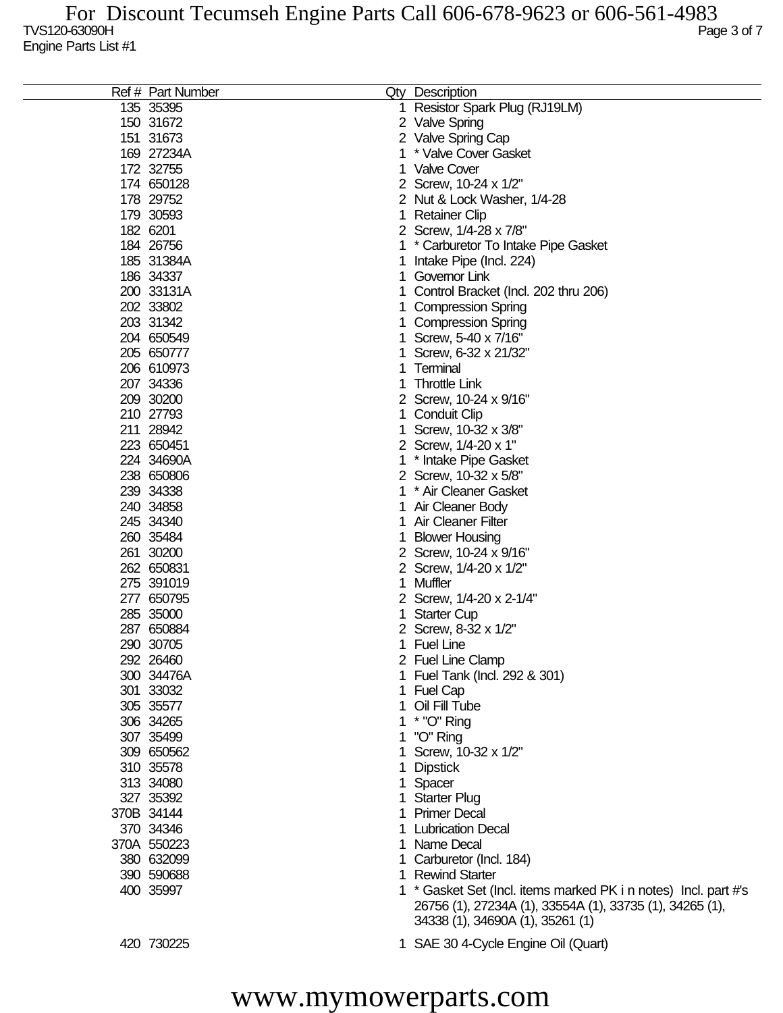| Ref # Part Number |    | Qty Description                                                                                                                                                 |
|-------------------|----|-----------------------------------------------------------------------------------------------------------------------------------------------------------------|
| 135 35395         |    | 1 Resistor Spark Plug (RJ19LM)                                                                                                                                  |
| 150 31672         |    | 2 Valve Spring                                                                                                                                                  |
| 151 31673         |    | 2 Valve Spring Cap                                                                                                                                              |
| 169 27234A        |    | * Valve Cover Gasket                                                                                                                                            |
| 172 32755         |    | <b>Valve Cover</b>                                                                                                                                              |
|                   |    |                                                                                                                                                                 |
| 174 650128        |    | 2 Screw, 10-24 x 1/2"                                                                                                                                           |
| 178 29752         |    | 2 Nut & Lock Washer, 1/4-28                                                                                                                                     |
| 179 30593         |    | <b>Retainer Clip</b>                                                                                                                                            |
| 182 6201          |    | 2 Screw, 1/4-28 x 7/8"                                                                                                                                          |
| 184 26756         |    | * Carburetor To Intake Pipe Gasket                                                                                                                              |
| 185 31384A        |    | Intake Pipe (Incl. 224)                                                                                                                                         |
| 186 34337         |    | Governor Link                                                                                                                                                   |
| 200 33131A        |    | Control Bracket (Incl. 202 thru 206)                                                                                                                            |
| 202 33802         |    | <b>Compression Spring</b>                                                                                                                                       |
| 203 31342         |    | <b>Compression Spring</b>                                                                                                                                       |
| 204 650549        |    | Screw, 5-40 x 7/16"                                                                                                                                             |
| 205 650777        |    | Screw, 6-32 x 21/32"                                                                                                                                            |
| 206 610973        |    | Terminal                                                                                                                                                        |
| 207 34336         |    | <b>Throttle Link</b>                                                                                                                                            |
| 209 30200         |    | 2 Screw, 10-24 x 9/16"                                                                                                                                          |
| 210 27793         |    |                                                                                                                                                                 |
|                   |    | Conduit Clip                                                                                                                                                    |
| 211 28942         |    | Screw, 10-32 x 3/8"                                                                                                                                             |
| 223 650451        |    | 2 Screw, 1/4-20 x 1"                                                                                                                                            |
| 224 34690A        |    | * Intake Pipe Gasket                                                                                                                                            |
| 238 650806        |    | 2 Screw, 10-32 x 5/8"                                                                                                                                           |
| 239 34338         |    | * Air Cleaner Gasket                                                                                                                                            |
| 240 34858         |    | Air Cleaner Body                                                                                                                                                |
| 245 34340         |    | <b>Air Cleaner Filter</b>                                                                                                                                       |
| 260 35484         |    | <b>Blower Housing</b>                                                                                                                                           |
| 261 30200         |    | 2 Screw, 10-24 x 9/16"                                                                                                                                          |
| 262 650831        |    | 2 Screw, 1/4-20 x 1/2"                                                                                                                                          |
| 275 391019        | 1. | Muffler                                                                                                                                                         |
| 277 650795        |    | 2 Screw, 1/4-20 x 2-1/4"                                                                                                                                        |
| 285 35000         |    | <b>Starter Cup</b>                                                                                                                                              |
| 287 650884        |    | 2 Screw, 8-32 x 1/2"                                                                                                                                            |
| 290 30705         |    | 1 Fuel Line                                                                                                                                                     |
| 292 26460         |    | 2 Fuel Line Clamp                                                                                                                                               |
| 300 34476A        |    | 1 Fuel Tank (Incl. 292 & 301)                                                                                                                                   |
| 301 33032         |    | 1 Fuel Cap                                                                                                                                                      |
| 305 35577         |    | 1 Oil Fill Tube                                                                                                                                                 |
| 306 34265         |    | 1 * "O" Ring                                                                                                                                                    |
| 307 35499         |    | "O" Ring                                                                                                                                                        |
| 309 650562        |    | 1 Screw, 10-32 x 1/2"                                                                                                                                           |
| 310 35578         |    | <b>Dipstick</b>                                                                                                                                                 |
| 313 34080         |    | Spacer                                                                                                                                                          |
| 327 35392         |    | 1 Starter Plug                                                                                                                                                  |
| 370B 34144        |    | 1 Primer Decal                                                                                                                                                  |
|                   |    |                                                                                                                                                                 |
| 370 34346         |    | 1 Lubrication Decal                                                                                                                                             |
| 370A 550223       |    | 1 Name Decal                                                                                                                                                    |
| 380 632099        |    | Carburetor (Incl. 184)                                                                                                                                          |
| 390 590688        | 1  | <b>Rewind Starter</b>                                                                                                                                           |
| 400 35997         |    | 1 * Gasket Set (Incl. items marked PK i n notes) Incl. part #'s<br>26756 (1), 27234A (1), 33554A (1), 33735 (1), 34265 (1),<br>34338 (1), 34690A (1), 35261 (1) |
| 420 730225        |    | 1 SAE 30 4-Cycle Engine Oil (Quart)                                                                                                                             |

www.mymowerparts.com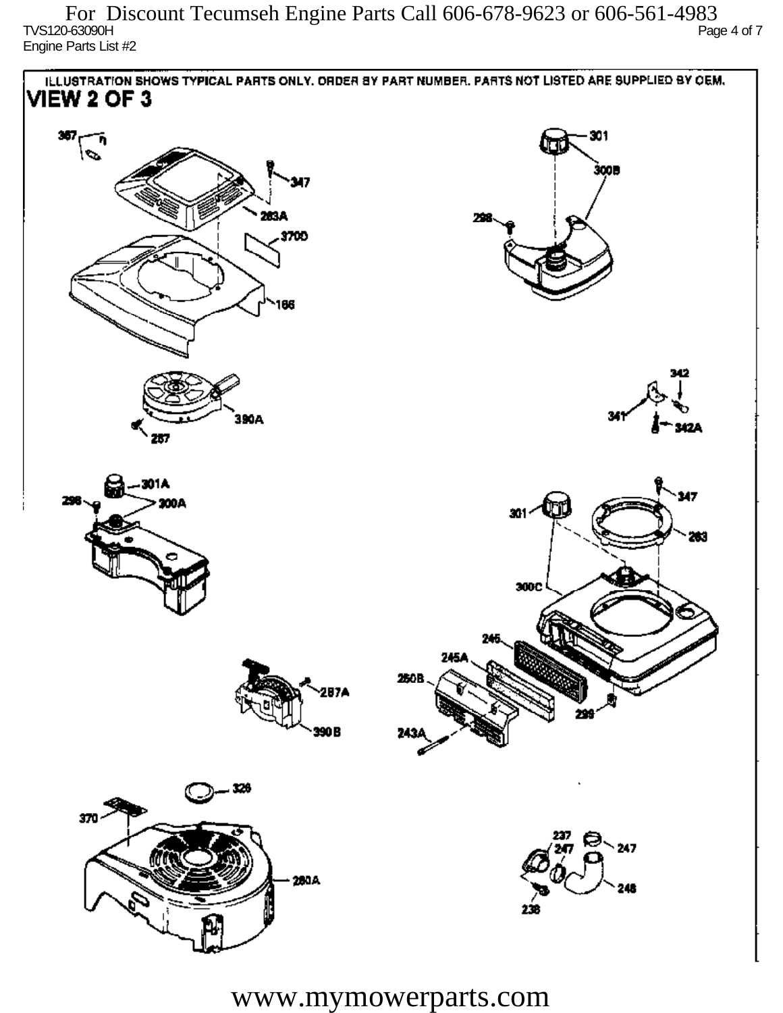TVS120-63090H Page 4 of 7 Engine Parts List #2 For Discount Tecumseh Engine Parts Call 606-678-9623 or 606-561-4983



www.mymowerparts.com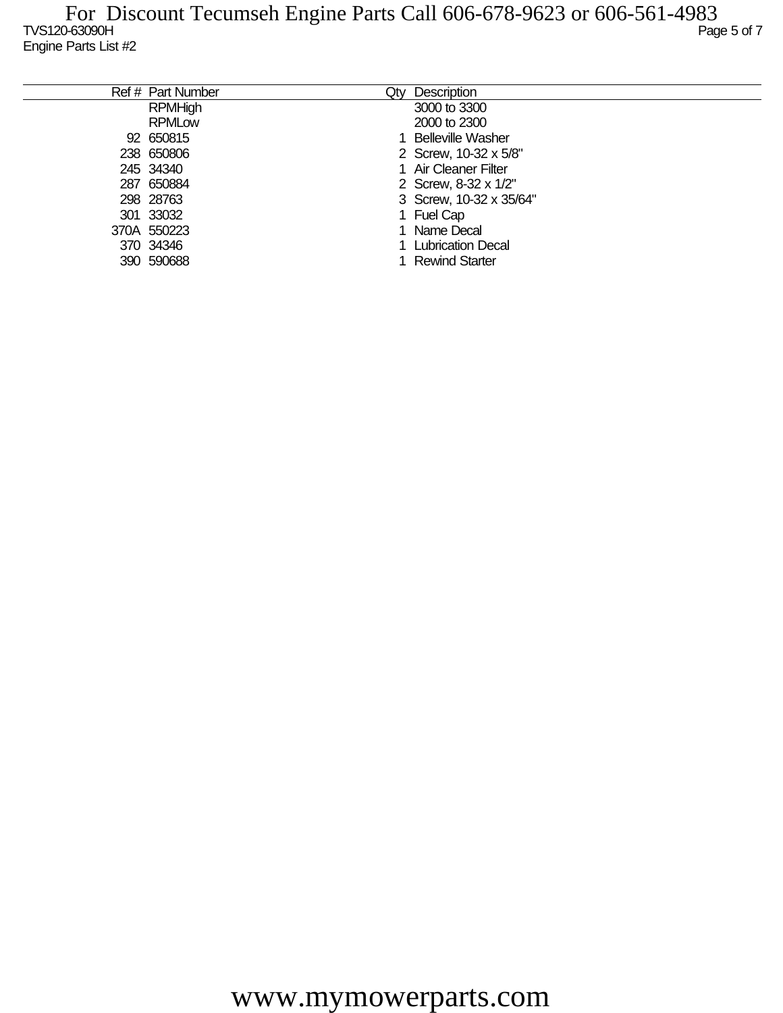| Ref # Part Number | Qtv | Description              |
|-------------------|-----|--------------------------|
| <b>RPMHigh</b>    |     | 3000 to 3300             |
| <b>RPMLow</b>     |     | 2000 to 2300             |
| 92 650815         |     | <b>Belleville Washer</b> |
| 238 650806        |     | 2 Screw, 10-32 x 5/8"    |
| 245 34340         |     | 1 Air Cleaner Filter     |
| 287 650884        |     | 2 Screw, 8-32 x 1/2"     |
| 298 28763         |     | 3 Screw, 10-32 x 35/64"  |
| 301 33032         |     | 1 Fuel Cap               |
| 370A 550223       |     | Name Decal               |
| 370 34346         |     | 1 Lubrication Decal      |
| 390 590688        |     | <b>Rewind Starter</b>    |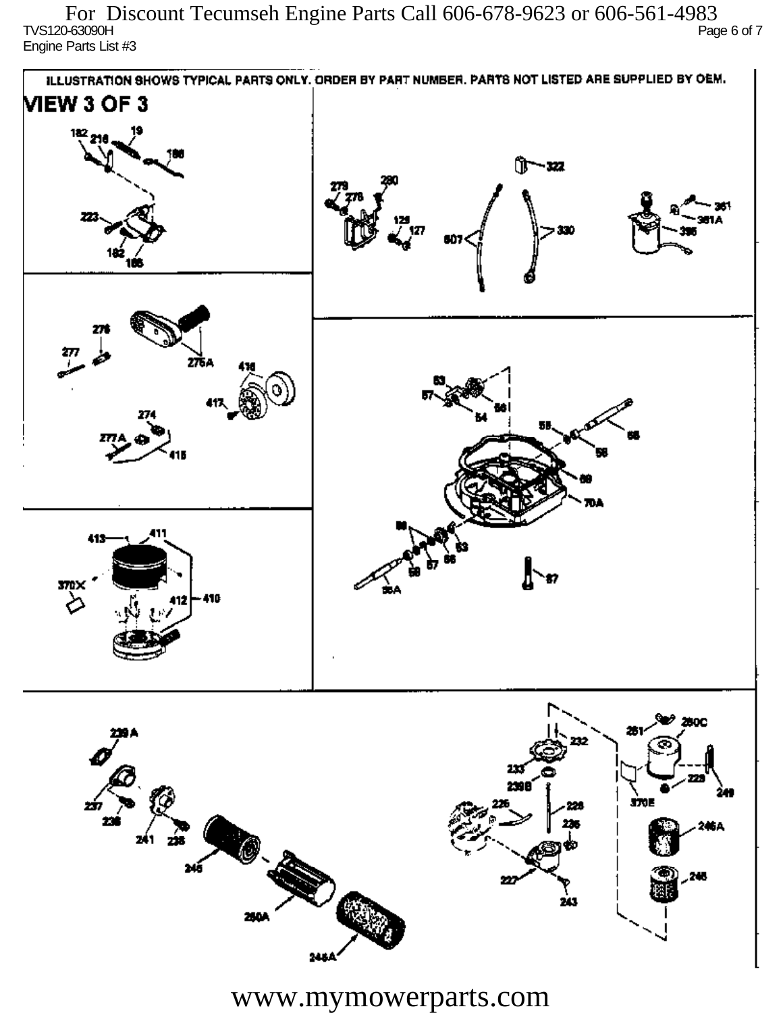TVS120-63090H Page 6 of 7 Engine Parts List #3 For Discount Tecumseh Engine Parts Call 606-678-9623 or 606-561-4983



www.mymowerparts.com